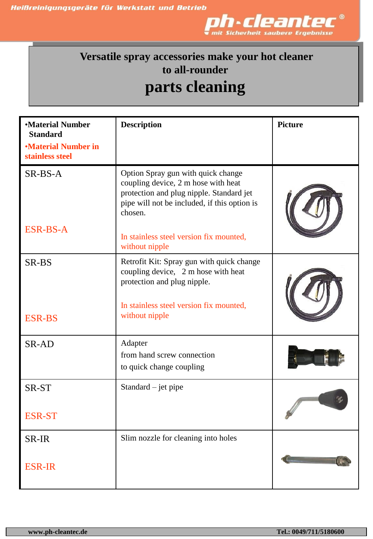

## **Versatile spray accessories make your hot cleaner to all-rounder parts cleaning**

| <b>•Material Number</b><br><b>Standard</b><br><b>•Material Number in</b><br>stainless steel | <b>Description</b>                                                                                                                                                                                                                            | <b>Picture</b> |
|---------------------------------------------------------------------------------------------|-----------------------------------------------------------------------------------------------------------------------------------------------------------------------------------------------------------------------------------------------|----------------|
| SR-BS-A<br><b>ESR-BS-A</b>                                                                  | Option Spray gun with quick change<br>coupling device, 2 m hose with heat<br>protection and plug nipple. Standard jet<br>pipe will not be included, if this option is<br>chosen.<br>In stainless steel version fix mounted,<br>without nipple |                |
| SR-BS<br><b>ESR-BS</b>                                                                      | Retrofit Kit: Spray gun with quick change<br>coupling device, 2 m hose with heat<br>protection and plug nipple.<br>In stainless steel version fix mounted,<br>without nipple                                                                  |                |
| SR-AD                                                                                       | Adapter<br>from hand screw connection<br>to quick change coupling                                                                                                                                                                             |                |
| SR-ST<br><b>ESR-ST</b>                                                                      | Standard $-$ jet pipe                                                                                                                                                                                                                         |                |
| SR-IR<br><b>ESR-IR</b>                                                                      | Slim nozzle for cleaning into holes                                                                                                                                                                                                           |                |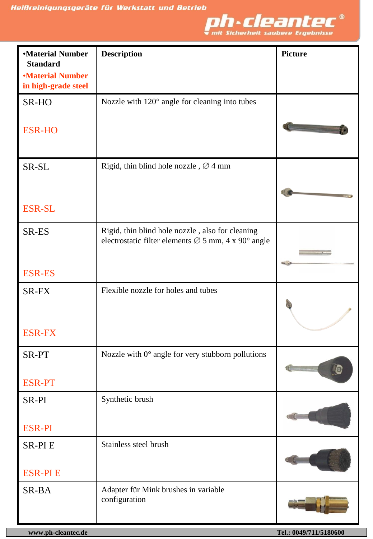

| <b>Material Number</b><br><b>Standard</b><br><b>Material Number</b> | <b>Description</b>                                              | <b>Picture</b> |
|---------------------------------------------------------------------|-----------------------------------------------------------------|----------------|
| in high-grade steel                                                 | Nozzle with 120° angle for cleaning into tubes                  |                |
| SR-HO                                                               |                                                                 |                |
| <b>ESR-HO</b>                                                       |                                                                 |                |
| SR-SL                                                               | Rigid, thin blind hole nozzle, $\varnothing$ 4 mm               |                |
| <b>ESR-SL</b>                                                       |                                                                 |                |
| SR-ES                                                               | Rigid, thin blind hole nozzle, also for cleaning                |                |
|                                                                     | electrostatic filter elements $\varnothing$ 5 mm, 4 x 90° angle | <b>COLL</b>    |
| <b>ESR-ES</b>                                                       |                                                                 |                |
| SR-FX                                                               | Flexible nozzle for holes and tubes                             |                |
| <b>ESR-FX</b>                                                       |                                                                 |                |
| SR-PT                                                               | Nozzle with $0^{\circ}$ angle for very stubborn pollutions      | l0             |
| <b>ESR-PT</b>                                                       |                                                                 |                |
| SR-PI                                                               | Synthetic brush                                                 |                |
| <b>ESR-PI</b>                                                       |                                                                 |                |
| <b>SR-PIE</b>                                                       | Stainless steel brush                                           |                |
| <b>ESR-PIE</b>                                                      |                                                                 |                |
| SR-BA                                                               | Adapter für Mink brushes in variable<br>configuration           |                |

J.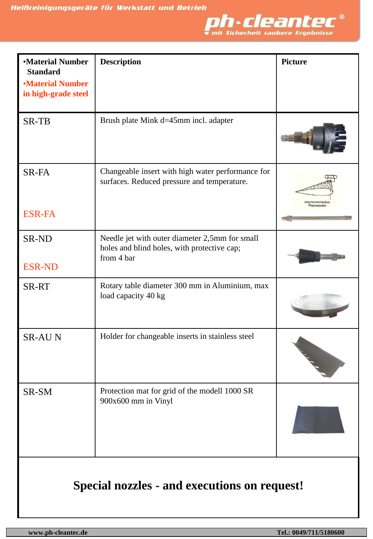

| <b>•Material Number</b><br><b>Standard</b>     | <b>Description</b>                                                                                          | <b>Picture</b>               |
|------------------------------------------------|-------------------------------------------------------------------------------------------------------------|------------------------------|
| <b>•Material Number</b><br>in high-grade steel |                                                                                                             |                              |
| <b>SR-TB</b>                                   | Brush plate Mink d=45mm incl. adapter                                                                       |                              |
| SR-FA<br><b>ESR-FA</b>                         | Changeable insert with high water performance for<br>surfaces. Reduced pressure and temperature.            | asymmetrische<br>Flachstrahl |
| <b>SR-ND</b><br><b>ESR-ND</b>                  | Needle jet with outer diameter 2,5mm for small<br>holes and blind holes, with protective cap;<br>from 4 bar |                              |
| <b>SR-RT</b>                                   | Rotary table diameter 300 mm in Aluminium, max<br>load capacity 40 kg                                       |                              |
| <b>SR-AUN</b>                                  | Holder for changeable inserts in stainless steel                                                            |                              |
| SR-SM                                          | Protection mat for grid of the modell 1000 SR<br>900x600 mm in Vinyl                                        |                              |
| Special nozzles - and executions on request!   |                                                                                                             |                              |

**www.ph-cleantec.de Tel.: 0049/711/5180600**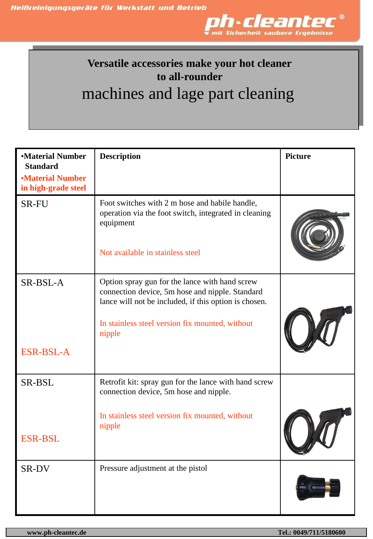

## **Versatile accessories make your hot cleaner to all-rounder** machines and lage part cleaning

| <b>•Material Number</b><br><b>Standard</b><br><b>•Material Number</b> | <b>Description</b>                                                                                                                                                                                                      | <b>Picture</b> |
|-----------------------------------------------------------------------|-------------------------------------------------------------------------------------------------------------------------------------------------------------------------------------------------------------------------|----------------|
| in high-grade steel                                                   |                                                                                                                                                                                                                         |                |
| <b>SR-FU</b>                                                          | Foot switches with 2 m hose and habile handle,<br>operation via the foot switch, integrated in cleaning<br>equipment                                                                                                    |                |
|                                                                       | Not available in stainless steel                                                                                                                                                                                        |                |
| SR-BSL-A                                                              | Option spray gun for the lance with hand screw<br>connection device, 5m hose and nipple. Standard<br>lance will not be included, if this option is chosen.<br>In stainless steel version fix mounted, without<br>nipple |                |
| <b>ESR-BSL-A</b>                                                      |                                                                                                                                                                                                                         |                |
| SR-BSL                                                                | Retrofit kit: spray gun for the lance with hand screw<br>connection device, 5m hose and nipple.                                                                                                                         |                |
| <b>ESR-BSL</b>                                                        | In stainless steel version fix mounted, without<br>nipple                                                                                                                                                               |                |
|                                                                       |                                                                                                                                                                                                                         |                |
| SR-DV                                                                 | Pressure adjustment at the pistol                                                                                                                                                                                       |                |